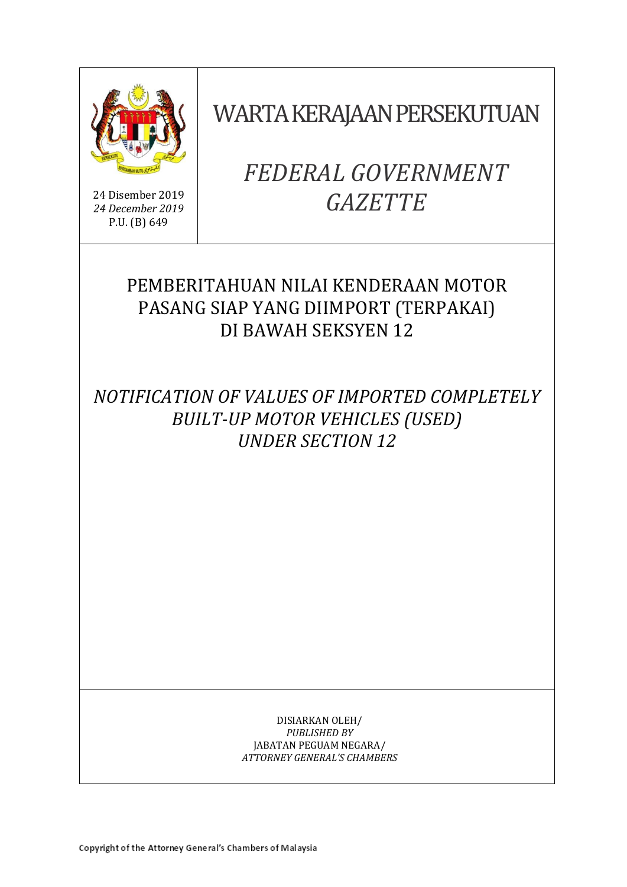

24 Disember 2019 *24 December 2019* P.U. (B) 649

# WARTA KERAJAAN PERSEKUTUAN

# *FEDERAL GOVERNMENT GAZETTE*

# PEMBERITAHUAN NILAI KENDERAAN MOTOR PASANG SIAP YANG DIIMPORT (TERPAKAI) DI BAWAH SEKSYEN 12

*NOTIFICATION OF VALUES OF IMPORTED COMPLETELY BUILT-UP MOTOR VEHICLES (USED) UNDER SECTION 12* 

> DISIARKAN OLEH/ *PUBLISHED BY* JABATAN PEGUAM NEGARA/ *ATTORNEY GENERAL'S CHAMBERS*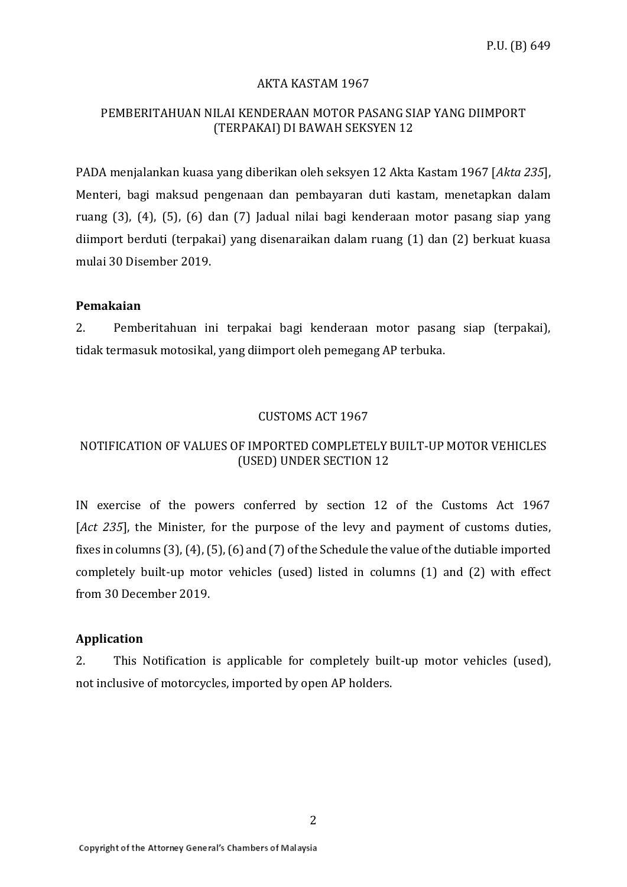#### AKTA KASTAM 1967

### PEMBERITAHUAN NILAI KENDERAAN MOTOR PASANG SIAP YANG DIIMPORT (TERPAKAI) DI BAWAH SEKSYEN 12

PADA menjalankan kuasa yang diberikan oleh seksyen 12 Akta Kastam 1967 [*Akta 235*], Menteri, bagi maksud pengenaan dan pembayaran duti kastam, menetapkan dalam ruang (3), (4), (5), (6) dan (7) Jadual nilai bagi kenderaan motor pasang siap yang diimport berduti (terpakai) yang disenaraikan dalam ruang (1) dan (2) berkuat kuasa mulai 30 Disember 2019.

#### **Pemakaian**

2. Pemberitahuan ini terpakai bagi kenderaan motor pasang siap (terpakai), tidak termasuk motosikal, yang diimport oleh pemegang AP terbuka.

#### CUSTOMS ACT 1967

### NOTIFICATION OF VALUES OF IMPORTED COMPLETELY BUILT-UP MOTOR VEHICLES (USED) UNDER SECTION 12

IN exercise of the powers conferred by section 12 of the Customs Act 1967 [*Act 235*], the Minister, for the purpose of the levy and payment of customs duties, fixes in columns (3), (4), (5), (6) and (7) of the Schedule the value of the dutiable imported completely built-up motor vehicles (used) listed in columns (1) and (2) with effect from 30 December 2019.

#### **Application**

2. This Notification is applicable for completely built-up motor vehicles (used), not inclusive of motorcycles, imported by open AP holders.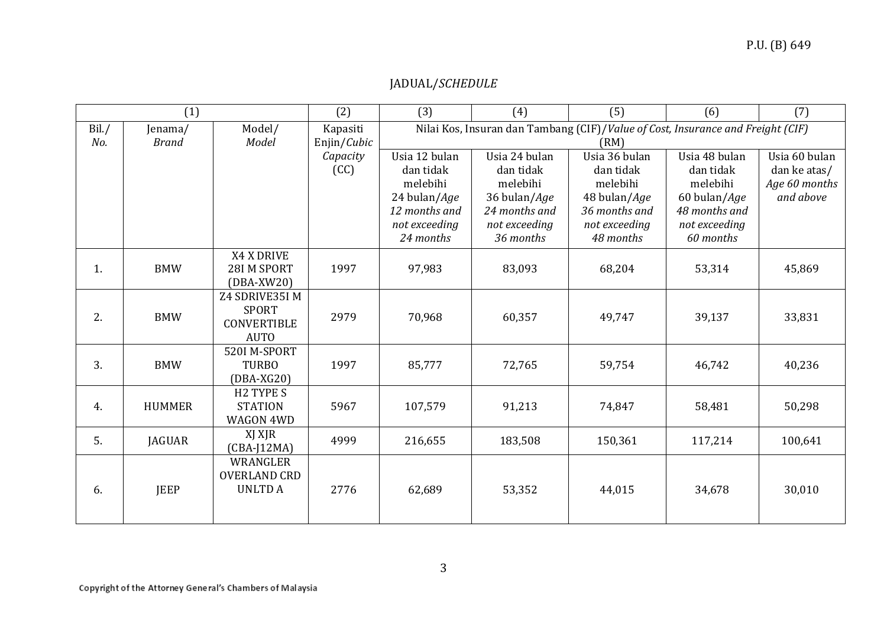# P.U. (B) 649

# JADUAL/*SCHEDULE*

| (1)   |               |                       | (2)         | (3)                                                                             | (4)           | (5)           | (6)           | (7)           |
|-------|---------------|-----------------------|-------------|---------------------------------------------------------------------------------|---------------|---------------|---------------|---------------|
| Bil./ | Jenama/       | Model/                | Kapasiti    | Nilai Kos, Insuran dan Tambang (CIF)/Value of Cost, Insurance and Freight (CIF) |               |               |               |               |
| No.   | <b>Brand</b>  | Model                 | Enjin/Cubic | (RM)                                                                            |               |               |               |               |
|       |               |                       | Capacity    | Usia 12 bulan                                                                   | Usia 24 bulan | Usia 36 bulan | Usia 48 bulan | Usia 60 bulan |
|       |               |                       | (CC)        | dan tidak                                                                       | dan tidak     | dan tidak     | dan tidak     | dan ke atas/  |
|       |               |                       |             | melebihi                                                                        | melebihi      | melebihi      | melebihi      | Age 60 months |
|       |               |                       |             | 24 bulan/Age                                                                    | 36 bulan/Age  | 48 bulan/Age  | 60 bulan/Age  | and above     |
|       |               |                       |             | 12 months and                                                                   | 24 months and | 36 months and | 48 months and |               |
|       |               |                       |             | not exceeding                                                                   | not exceeding | not exceeding | not exceeding |               |
|       |               |                       |             | 24 months                                                                       | 36 months     | 48 months     | 60 months     |               |
|       |               | X4 X DRIVE            |             |                                                                                 |               |               |               |               |
| 1.    | <b>BMW</b>    | 28I M SPORT           | 1997        | 97,983                                                                          | 83,093        | 68,204        | 53,314        | 45,869        |
|       |               | $(DBA-XW20)$          |             |                                                                                 |               |               |               |               |
|       |               | Z4 SDRIVE35I M        |             |                                                                                 |               |               |               |               |
| 2.    | <b>BMW</b>    | <b>SPORT</b>          | 2979        | 70,968                                                                          | 60,357        | 49,747        | 39,137        | 33,831        |
|       |               | <b>CONVERTIBLE</b>    |             |                                                                                 |               |               |               |               |
|       |               | <b>AUTO</b>           |             |                                                                                 |               |               |               |               |
|       |               | 520I M-SPORT          |             |                                                                                 |               |               |               |               |
| 3.    | <b>BMW</b>    | <b>TURBO</b>          | 1997        | 85,777                                                                          | 72,765        | 59,754        | 46,742        | 40,236        |
|       |               | $(DBA-XG20)$          |             |                                                                                 |               |               |               |               |
|       |               | H <sub>2</sub> TYPE S |             |                                                                                 |               |               |               |               |
| 4.    | <b>HUMMER</b> | <b>STATION</b>        | 5967        | 107,579                                                                         | 91,213        | 74,847        | 58,481        | 50,298        |
|       |               | WAGON 4WD             |             |                                                                                 |               |               |               |               |
| 5.    | <b>JAGUAR</b> | XJ XJR                | 4999        | 216,655                                                                         | 183,508       | 150,361       | 117,214       | 100,641       |
|       |               | $(CBA-J12MA)$         |             |                                                                                 |               |               |               |               |
|       |               | WRANGLER              |             |                                                                                 |               |               |               |               |
|       |               | <b>OVERLAND CRD</b>   |             |                                                                                 |               |               |               |               |
| 6.    | <b>JEEP</b>   | <b>UNLTDA</b>         | 2776        | 62,689                                                                          | 53,352        | 44,015        | 34,678        | 30,010        |
|       |               |                       |             |                                                                                 |               |               |               |               |
|       |               |                       |             |                                                                                 |               |               |               |               |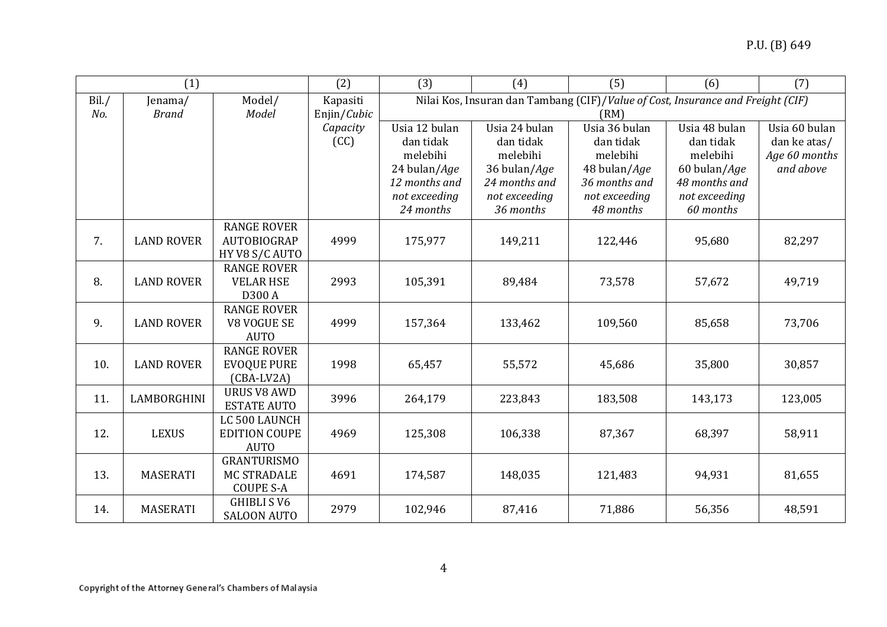| (1)   |                    |                                          | (2)         | (3)                                                                             | (4)                   | (5)                   | (6)                   | (7)                        |
|-------|--------------------|------------------------------------------|-------------|---------------------------------------------------------------------------------|-----------------------|-----------------------|-----------------------|----------------------------|
| Bil./ | Jenama/            | Model/                                   | Kapasiti    | Nilai Kos, Insuran dan Tambang (CIF)/Value of Cost, Insurance and Freight (CIF) |                       |                       |                       |                            |
| No.   | <b>Brand</b>       | Model                                    | Enjin/Cubic | (RM)                                                                            |                       |                       |                       |                            |
|       |                    |                                          | Capacity    | Usia 12 bulan                                                                   | Usia 24 bulan         | Usia 36 bulan         | Usia 48 bulan         | Usia 60 bulan              |
|       |                    |                                          | (CC)        | dan tidak<br>melebihi                                                           | dan tidak<br>melebihi | dan tidak<br>melebihi | dan tidak<br>melebihi | dan ke atas/               |
|       |                    |                                          |             | 24 bulan/Age                                                                    | 36 bulan/Age          | 48 bulan/Age          | 60 bulan/Age          | Age 60 months<br>and above |
|       |                    |                                          |             | 12 months and                                                                   | 24 months and         | 36 months and         | 48 months and         |                            |
|       |                    |                                          |             | not exceeding                                                                   | not exceeding         | not exceeding         | not exceeding         |                            |
|       |                    |                                          |             | 24 months                                                                       | 36 months             | 48 months             | 60 months             |                            |
|       |                    | <b>RANGE ROVER</b>                       |             |                                                                                 |                       |                       |                       |                            |
| 7.    | <b>LAND ROVER</b>  | AUTOBIOGRAP                              | 4999        | 175,977                                                                         | 149,211               | 122,446               | 95,680                | 82,297                     |
|       |                    | HY V8 S/C AUTO                           |             |                                                                                 |                       |                       |                       |                            |
|       |                    | <b>RANGE ROVER</b>                       |             |                                                                                 |                       |                       |                       |                            |
| 8.    | <b>LAND ROVER</b>  | <b>VELAR HSE</b>                         | 2993        | 105,391                                                                         | 89,484                | 73,578                | 57,672                | 49,719                     |
|       |                    | D300 A                                   |             |                                                                                 |                       |                       |                       |                            |
|       |                    | <b>RANGE ROVER</b>                       |             |                                                                                 |                       |                       |                       |                            |
| 9.    | <b>LAND ROVER</b>  | V8 VOGUE SE                              | 4999        | 157,364                                                                         | 133,462               | 109,560               | 85,658                | 73,706                     |
|       |                    | <b>AUTO</b>                              |             |                                                                                 |                       |                       |                       |                            |
| 10.   | <b>LAND ROVER</b>  | <b>RANGE ROVER</b><br><b>EVOQUE PURE</b> | 1998        | 65,457                                                                          | 55,572                | 45,686                | 35,800                | 30,857                     |
|       |                    | $(CBA-LV2A)$                             |             |                                                                                 |                       |                       |                       |                            |
|       |                    | <b>URUS V8 AWD</b>                       |             |                                                                                 |                       |                       |                       |                            |
| 11.   | <b>LAMBORGHINI</b> | <b>ESTATE AUTO</b>                       | 3996        | 264,179                                                                         | 223,843               | 183,508               | 143,173               | 123,005                    |
|       |                    | LC 500 LAUNCH                            |             |                                                                                 |                       |                       |                       |                            |
| 12.   | <b>LEXUS</b>       | <b>EDITION COUPE</b>                     | 4969        | 125,308                                                                         | 106,338               | 87,367                | 68,397                | 58,911                     |
|       |                    | <b>AUTO</b>                              |             |                                                                                 |                       |                       |                       |                            |
|       |                    | <b>GRANTURISMO</b>                       |             |                                                                                 |                       |                       |                       |                            |
| 13.   | <b>MASERATI</b>    | <b>MC STRADALE</b>                       | 4691        | 174,587                                                                         | 148,035               | 121,483               | 94,931                | 81,655                     |
|       |                    | <b>COUPE S-A</b>                         |             |                                                                                 |                       |                       |                       |                            |
| 14.   | <b>MASERATI</b>    | <b>GHIBLI S V6</b>                       | 2979        | 102,946                                                                         | 87,416                | 71,886                | 56,356                | 48,591                     |
|       |                    | <b>SALOON AUTO</b>                       |             |                                                                                 |                       |                       |                       |                            |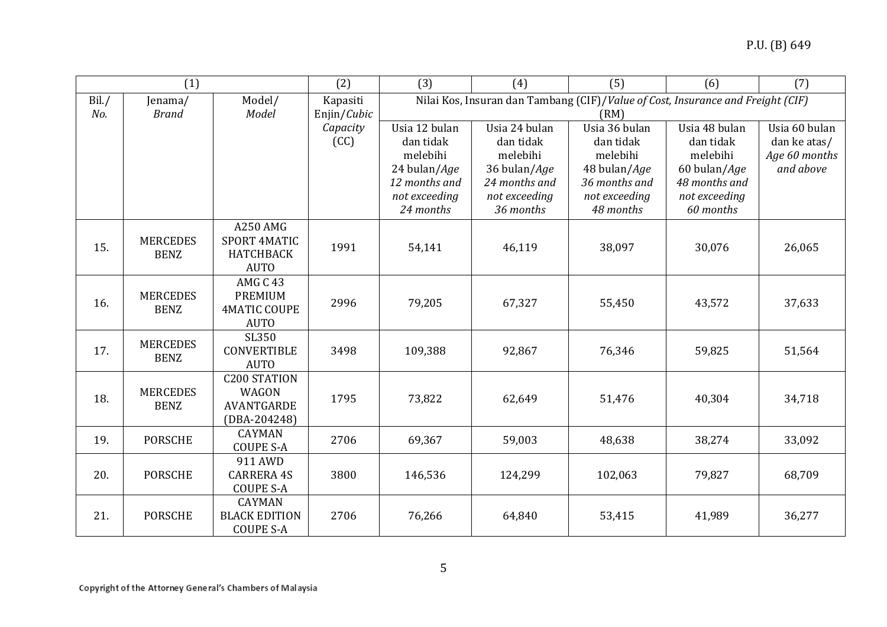| (1)   |                                |                                   | (2)              | (3)                                                                             | (4)                        | (5)                        | (6)                        | (7)                           |
|-------|--------------------------------|-----------------------------------|------------------|---------------------------------------------------------------------------------|----------------------------|----------------------------|----------------------------|-------------------------------|
| Bil./ | Jenama/                        | Model/                            | Kapasiti         | Nilai Kos, Insuran dan Tambang (CIF)/Value of Cost, Insurance and Freight (CIF) |                            |                            |                            |                               |
| No.   | <b>Brand</b>                   | Model                             | Enjin/Cubic      | (RM)                                                                            |                            |                            |                            |                               |
|       |                                |                                   | Capacity<br>(CC) | Usia 12 bulan<br>dan tidak                                                      | Usia 24 bulan<br>dan tidak | Usia 36 bulan<br>dan tidak | Usia 48 bulan<br>dan tidak | Usia 60 bulan<br>dan ke atas/ |
|       |                                |                                   |                  | melebihi                                                                        | melebihi                   | melebihi                   | melebihi                   | Age 60 months                 |
|       |                                |                                   |                  | 24 bulan/Age                                                                    | 36 bulan/Age               | 48 bulan/Age               | 60 bulan/Age               | and above                     |
|       |                                |                                   |                  | 12 months and                                                                   | 24 months and              | 36 months and              | 48 months and              |                               |
|       |                                |                                   |                  | not exceeding                                                                   | not exceeding              | not exceeding              | not exceeding              |                               |
|       |                                |                                   |                  | 24 months                                                                       | 36 months                  | 48 months                  | 60 months                  |                               |
|       |                                | <b>A250 AMG</b>                   |                  |                                                                                 |                            |                            |                            |                               |
| 15.   | <b>MERCEDES</b>                | <b>SPORT 4MATIC</b>               | 1991             | 54,141                                                                          | 46,119                     | 38,097                     | 30,076                     | 26,065                        |
|       | <b>BENZ</b>                    | <b>HATCHBACK</b>                  |                  |                                                                                 |                            |                            |                            |                               |
|       |                                | <b>AUTO</b>                       |                  |                                                                                 |                            |                            |                            |                               |
|       | <b>MERCEDES</b>                | AMG C 43<br><b>PREMIUM</b>        |                  |                                                                                 |                            |                            |                            |                               |
| 16.   | <b>BENZ</b>                    | <b>4MATIC COUPE</b>               | 2996             | 79,205                                                                          | 67,327                     | 55,450                     | 43,572                     | 37,633                        |
|       |                                | <b>AUTO</b>                       |                  |                                                                                 |                            |                            |                            |                               |
|       | <b>MERCEDES</b>                | SL350                             |                  |                                                                                 |                            |                            |                            |                               |
| 17.   | <b>BENZ</b>                    | <b>CONVERTIBLE</b>                | 3498             | 109,388                                                                         | 92,867                     | 76,346                     | 59,825                     | 51,564                        |
|       |                                | <b>AUTO</b>                       |                  |                                                                                 |                            |                            |                            |                               |
|       |                                | <b>C200 STATION</b>               |                  |                                                                                 |                            |                            |                            |                               |
| 18.   | <b>MERCEDES</b><br><b>BENZ</b> | <b>WAGON</b><br><b>AVANTGARDE</b> | 1795             | 73,822                                                                          | 62,649                     | 51,476                     | 40,304                     | 34,718                        |
|       |                                | $(DBA-204248)$                    |                  |                                                                                 |                            |                            |                            |                               |
|       |                                | <b>CAYMAN</b>                     |                  |                                                                                 |                            |                            |                            |                               |
| 19.   | <b>PORSCHE</b>                 | <b>COUPE S-A</b>                  | 2706             | 69,367                                                                          | 59,003                     | 48,638                     | 38,274                     | 33,092                        |
|       |                                | 911 AWD                           |                  |                                                                                 |                            |                            |                            |                               |
| 20.   | <b>PORSCHE</b>                 | <b>CARRERA 4S</b>                 | 3800             | 146,536                                                                         | 124,299                    | 102,063                    | 79,827                     | 68,709                        |
|       |                                | <b>COUPE S-A</b>                  |                  |                                                                                 |                            |                            |                            |                               |
|       |                                | <b>CAYMAN</b>                     |                  |                                                                                 |                            |                            |                            |                               |
| 21.   | <b>PORSCHE</b>                 | <b>BLACK EDITION</b>              | 2706             | 76,266                                                                          | 64,840                     | 53,415                     | 41,989                     | 36,277                        |
|       |                                | <b>COUPE S-A</b>                  |                  |                                                                                 |                            |                            |                            |                               |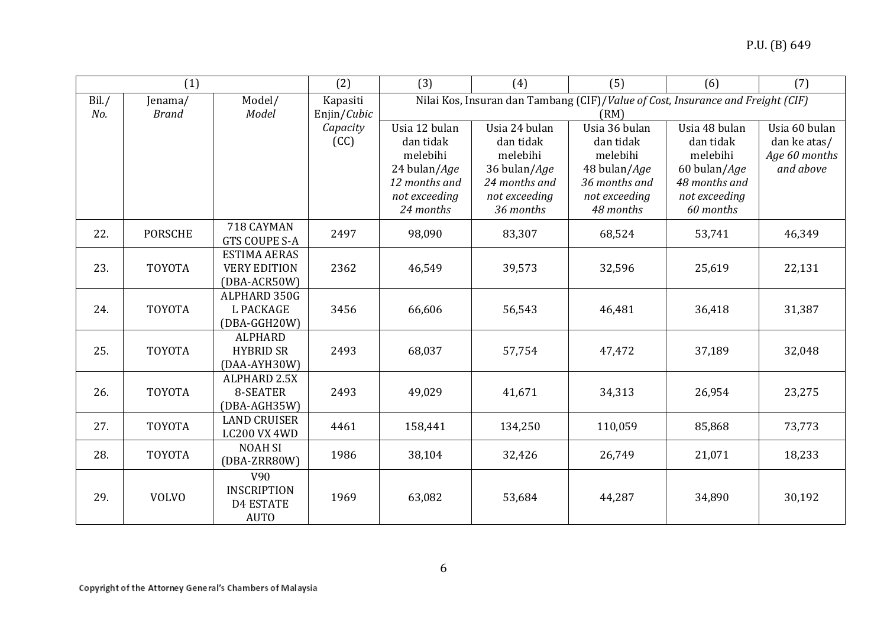| (1)   |                |                                | (2)         | (3)                                                                             | (4)                   | (5)                   | (6)                   | (7)                           |
|-------|----------------|--------------------------------|-------------|---------------------------------------------------------------------------------|-----------------------|-----------------------|-----------------------|-------------------------------|
| Bil./ | Jenama/        | Model/                         | Kapasiti    | Nilai Kos, Insuran dan Tambang (CIF)/Value of Cost, Insurance and Freight (CIF) |                       |                       |                       |                               |
| No.   | <b>Brand</b>   | Model                          | Enjin/Cubic | (RM)                                                                            |                       |                       |                       |                               |
|       |                |                                | Capacity    | Usia 12 bulan                                                                   | Usia 24 bulan         | Usia 36 bulan         | Usia 48 bulan         | Usia 60 bulan                 |
|       |                |                                | (CC)        | dan tidak<br>melebihi                                                           | dan tidak<br>melebihi | dan tidak<br>melebihi | dan tidak<br>melebihi | dan ke atas/<br>Age 60 months |
|       |                |                                |             | 24 bulan/Age                                                                    | 36 bulan/Age          | 48 bulan/Age          | 60 bulan/Age          | and above                     |
|       |                |                                |             | 12 months and                                                                   | 24 months and         | 36 months and         | 48 months and         |                               |
|       |                |                                |             | not exceeding                                                                   | not exceeding         | not exceeding         | not exceeding         |                               |
|       |                |                                |             | 24 months                                                                       | 36 months             | 48 months             | 60 months             |                               |
| 22.   | <b>PORSCHE</b> | 718 CAYMAN                     | 2497        | 98,090                                                                          | 83,307                | 68,524                | 53,741                | 46,349                        |
|       |                | <b>GTS COUPE S-A</b>           |             |                                                                                 |                       |                       |                       |                               |
|       |                | <b>ESTIMA AERAS</b>            |             |                                                                                 |                       |                       |                       |                               |
| 23.   | <b>TOYOTA</b>  | <b>VERY EDITION</b>            | 2362        | 46,549                                                                          | 39,573                | 32,596                | 25,619                | 22,131                        |
|       |                | (DBA-ACR50W)<br>ALPHARD 350G   |             |                                                                                 |                       |                       |                       |                               |
| 24.   | <b>TOYOTA</b>  | <b>L PACKAGE</b>               | 3456        | 66,606                                                                          | 56,543                | 46,481                | 36,418                | 31,387                        |
|       |                | (DBA-GGH20W)                   |             |                                                                                 |                       |                       |                       |                               |
|       |                | <b>ALPHARD</b>                 |             |                                                                                 |                       |                       |                       |                               |
| 25.   | <b>TOYOTA</b>  | <b>HYBRID SR</b>               | 2493        | 68,037                                                                          | 57,754                | 47,472                | 37,189                | 32,048                        |
|       |                | (DAA-AYH30W)                   |             |                                                                                 |                       |                       |                       |                               |
|       |                | ALPHARD 2.5X                   |             |                                                                                 |                       |                       |                       |                               |
| 26.   | <b>TOYOTA</b>  | 8-SEATER                       | 2493        | 49,029                                                                          | 41,671                | 34,313                | 26,954                | 23,275                        |
|       |                | (DBA-AGH35W)                   |             |                                                                                 |                       |                       |                       |                               |
| 27.   | <b>TOYOTA</b>  | <b>LAND CRUISER</b>            | 4461        | 158,441                                                                         | 134,250               | 110,059               | 85,868                | 73,773                        |
|       |                | LC200 VX 4WD<br><b>NOAH SI</b> |             |                                                                                 |                       |                       |                       |                               |
| 28.   | <b>TOYOTA</b>  | (DBA-ZRR80W)                   | 1986        | 38,104                                                                          | 32,426                | 26,749                | 21,071                | 18,233                        |
|       |                | V90                            |             |                                                                                 |                       |                       |                       |                               |
|       |                | <b>INSCRIPTION</b>             |             |                                                                                 |                       |                       |                       |                               |
| 29.   | <b>VOLVO</b>   | <b>D4 ESTATE</b>               | 1969        | 63,082                                                                          | 53,684                | 44,287                | 34,890                | 30,192                        |
|       |                | <b>AUTO</b>                    |             |                                                                                 |                       |                       |                       |                               |